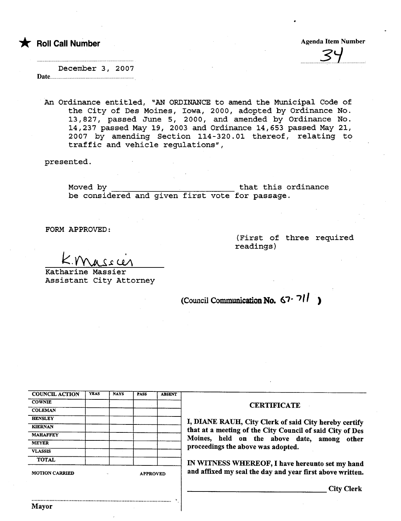\* Roll Call Number Agenda Item Number Agenda Item Number

...............~.'i.........

December 3, 2007 Date......

An Ordinance entitled, "AN ORDINANCE to amend the Municipal Code of the City of Des Moines, Iowa, 2000, adopted by Ordinance No. 13,827, passed June 5, 2000, and amended by Ordinance No. 14,237 passed May 19, 2003 and Ordinance 14,653 passed May 21, 2007 by amending Section 114-320.01 thereof, relating to traffic and vehicle regulations",

presented.

Moved by that this ordinance be considered and given first vote for passage.

FORM APPROVED:

(First of three required readings)

 $K.$ Massier

Katharine Massier Assistant City Attorney

(Council Communication No.  $67 - 711$ )

| <b>COUNCIL ACTION</b> | <b>YEAS</b> | <b>NAYS</b>           | <b>PASS</b> | <b>ABSENT</b> |
|-----------------------|-------------|-----------------------|-------------|---------------|
| <b>COWNIE</b>         |             |                       |             |               |
| <b>COLEMAN</b>        |             |                       |             |               |
| <b>HENSLEY</b>        |             |                       |             |               |
| <b>KIERNAN</b>        |             |                       |             |               |
| <b>MAHAFFEY</b>       |             |                       |             |               |
| <b>MEYER</b>          |             |                       |             |               |
| <b>VLASSIS</b>        |             |                       |             |               |
| <b>TOTAL</b>          |             |                       |             |               |
| <b>MOTION CARRIED</b> |             | <b>APPROVED</b><br>٠. |             |               |

.......................................................................................... .

Mayor

#### **CERTIFICATE**

I, DIANE RAUH, City Clerk of said City hereby certify that at a meeting of the City Council of said City of Des Moines, held on the above date, among other proceedings the above was adopted.

IN WITNESS WHEREOF, I have hereunto set my hand and affixed my seal the day and year first above written.

City Clerk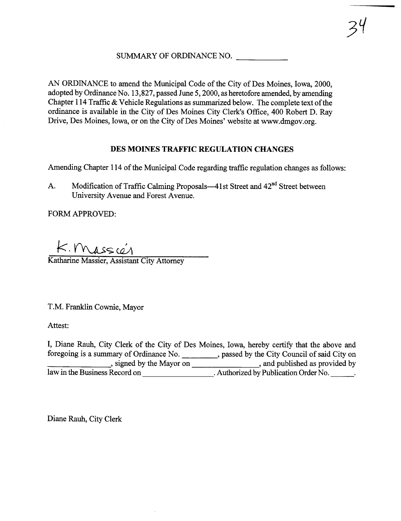#### SUMMARY OF ORDINANCE NO.

AN ORDINANCE to amend the Municipal Code of the City of Des Moines, Iowa, 2000, adopted by Ordinance No. 13,827, passed June 5, 2000, as heretofore amended, by amending Chapter 114 Traffic  $&$  Vehicle Regulations as summarized below. The complete text of the ordinance is available in the City of Des Moines City Clerk's Office, 400 Robert D. Ray Drive, Des Moines, Iowa, or on the City of Des Moines' website at ww.dmgov.org.

#### DES MOINES TRAFFIC REGULATION CHANGES

Amending Chapter 114 of the Municipal Code regarding traffic regulation changes as follows:

A. Modification of Traffic Calming Proposals—41st Street and 42<sup>nd</sup> Street between University Avenue and Forest Avenue.

FORM APPROVED:

 $K.$  Mass $\omega$ **Katharine Massier, Assistant City Attorney** 

T.M. Franklin Cownie, Mayor

Attest:

I, Diane Rauh, City Clerk of the City of Des Moines, Iowa, hereby certify that the above and foregoing is a summary of Ordinance No. , passed by the City Council of said City on , signed by the Mayor on , and published as provided by law in the Business Record on . Authorized by Publication Order No.

Diane Rauh, City Clerk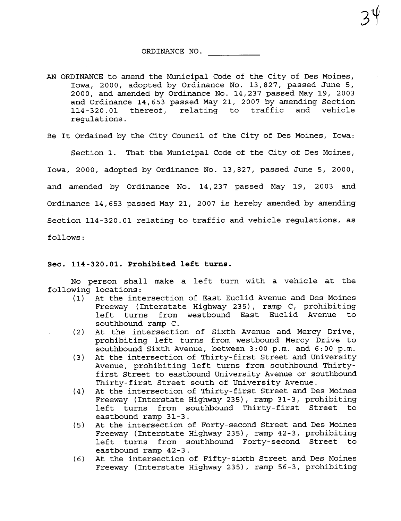$34$ 

AN ORDINANCE to amend the Municipal Code of the City of Des Moines, Iowa, 2000, adopted by Ordinance No. 13,827, passed June 5, 2000, and amended by Ordinance No. 14,237 passed May 19, 2003 and Ordinance 14,653 passed May 21, 2007 by amending Section 114 -320.01 thereof, relating to traffic and vehicle regulations.

Be It Ordained by the City Council of the City of Des Moines, Iowa:

Section 1. That the Municipal Code of the City of Des Moines,

Iowa, 2000, adopted by Ordinance No. 13,827, passed June 5, 2000, and amended by Ordinance No. 14,237 passed May 19, 2003 and Ordinance 14,653 passed May 21, 2007 is hereby amended by amending Section 114-320.01 relating to traffic and vehicle regulations, as follows:

#### Sec. 114-320.01. Prohibited left turns.

No person shall make a left turn with a vehicle at the following locations:<br>(1) At the inte

- At the intersection of East Euclid Avenue and Des Moines Freeway (Interstate Highway 235), ramp C, prohibiting left turns from westbound East Euclid Avenue southbound ramp C.
- (2) At the intersection of Sixth Avenue and Mercy Drive, prohibiting left turns from westbound Mercy Drive to southbound Sixth Avenue, between 3:00 p.m. and 6:00 p.m.
- (3) At the intersection of Thirty-first Street and University Avenue, prohibiting left turns from southbound Thirtyfirst Street to eastbound University Avenue or southbound Thirty-first Street south of University Avenue.
- (4) At the intersection of Thirty-first Street and Des Moines Freeway (Interstate Highway 235), ramp 31-3, prohibiting left turns from southbound Thirty-first Street to eastbound ramp 31-3.
- (5) At the intersection of Forty- second Street and Des Moines Freeway (Interstate Highway 235), ramp 42-3, prohibiting left turns from southbound Forty- second Street to eastbound ramp 42-3.
- (6) At the intersection of Fifty-sixth Street and Des Moines Freeway (Interstate Highway 235), ramp 56-3, prohibiting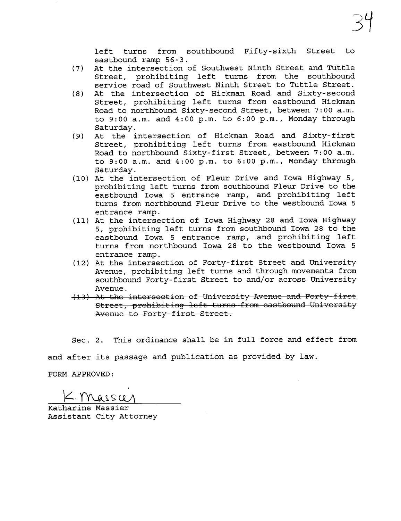left turns from southbound Fifty-sixth Street to eastbound ramp 56-3.

- (7) At the intersection of Southwest Ninth Street and Tuttle Street, prohibiting left turns from the southbound service road of Southwest Ninth Street to Tuttle Street.
- (8) At the intersection of Hickman Road and Sixty- second Street, prohibiting left turns from eastbound Hickman Road to northbound Sixty-second Street, between 7: 00 a.m. to 9: 00 a. m. and 4: 00 p. m. to 6: 00 p. m., Monday through Saturday.
- (9) At the intersection of Hickman Road and Sixty-first Street, prohibiting left turns from eastbound Hickman Road to northbound Sixty-first Street, between 7:00 a.m. to 9: 00 a. m. and 4: 00 p. m. to 6: 00 p. m., Monday through Saturday.
- (10) At the intersection of Fleur Drive and Iowa Highway 5, prohibiting left turns from southbound Fleur Drive to the eastbound Iowa 5 entrance ramp, and prohibiting left turns from northbound Fleur Drive to the westbound Iowa 5 entrance ramp.
- (11) At the intersection of Iowa Highway 28 and Iowa Highway 5, prohibiting left turns from southbound Iowa 28 to the eastbound Iowa 5 entrance ramp, and prohibiting left turns from northbound Iowa 28 to the westbound Iowa 5 entrance ramp.
- (12) At the intersection of Forty-first Street and University Avenue, prohibiting left turns and through movements from southbound Forty-first Street to and/or across University Avenue.
- (13) At the intersection of University Avenue and Forty-first Street, prohibiting left turns from eastbound University Avenue to Forty-first Street.

Sec. 2. This ordinance shall be in full force and effect from

and after its passage and publication as provided by law.

FORM APPROVED:

 $k$ . Massur

Katharine Massier Assistant City Attorney